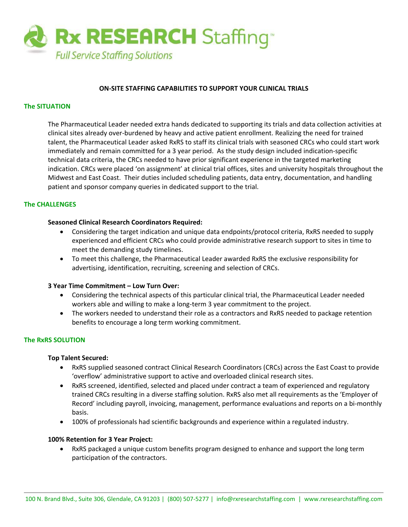

# **ON‐SITE STAFFING CAPABILITIES TO SUPPORT YOUR CLINICAL TRIALS**

# **The SITUATION**

The Pharmaceutical Leader needed extra hands dedicated to supporting its trials and data collection activities at clinical sites already over‐burdened by heavy and active patient enrollment. Realizing the need for trained talent, the Pharmaceutical Leader asked RxRS to staff its clinical trials with seasoned CRCs who could start work immediately and remain committed for a 3 year period. As the study design included indication‐specific technical data criteria, the CRCs needed to have prior significant experience in the targeted marketing indication. CRCs were placed 'on assignment' at clinical trial offices, sites and university hospitals throughout the Midwest and East Coast. Their duties included scheduling patients, data entry, documentation, and handling patient and sponsor company queries in dedicated support to the trial.

# **The CHALLENGES**

### **Seasoned Clinical Research Coordinators Required:**

- Considering the target indication and unique data endpoints/protocol criteria, RxRS needed to supply experienced and efficient CRCs who could provide administrative research support to sites in time to meet the demanding study timelines.
- To meet this challenge, the Pharmaceutical Leader awarded RxRS the exclusive responsibility for advertising, identification, recruiting, screening and selection of CRCs.

## **3 Year Time Commitment – Low Turn Over:**

- Considering the technical aspects of this particular clinical trial, the Pharmaceutical Leader needed workers able and willing to make a long-term 3 year commitment to the project.
- The workers needed to understand their role as a contractors and RxRS needed to package retention benefits to encourage a long term working commitment.

# **The RxRS SOLUTION**

### **Top Talent Secured:**

- RxRS supplied seasoned contract Clinical Research Coordinators (CRCs) across the East Coast to provide 'overflow' administrative support to active and overloaded clinical research sites.
- RxRS screened, identified, selected and placed under contract a team of experienced and regulatory trained CRCs resulting in a diverse staffing solution. RxRS also met all requirements as the 'Employer of Record' including payroll, invoicing, management, performance evaluations and reports on a bi-monthly basis.
- 100% of professionals had scientific backgrounds and experience within a regulated industry.

### **100% Retention for 3 Year Project:**

• RxRS packaged a unique custom benefits program designed to enhance and support the long term participation of the contractors.